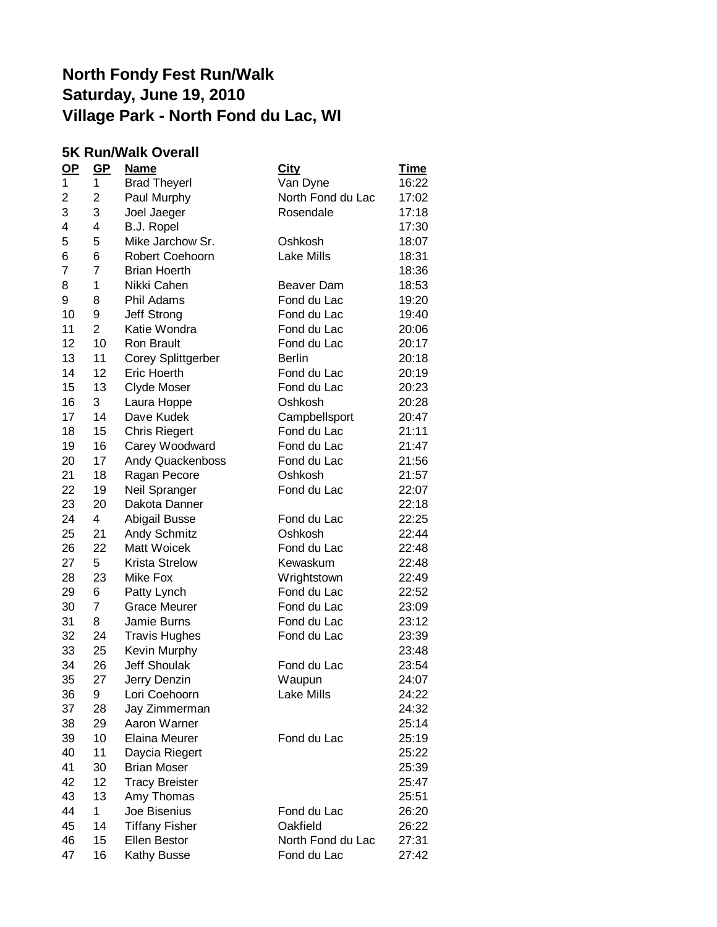#### **5K Run/Walk Overall**

| $OP$ | $GP$           | <b>Name</b>               | <b>City</b>       | <u>Time</u> |
|------|----------------|---------------------------|-------------------|-------------|
| 1    | 1              | <b>Brad Theyerl</b>       | Van Dyne          | 16:22       |
| 2    | 2              | Paul Murphy               | North Fond du Lac | 17:02       |
| 3    | 3              | Joel Jaeger               | Rosendale         | 17:18       |
| 4    | 4              | <b>B.J. Ropel</b>         |                   | 17:30       |
| 5    | 5              | Mike Jarchow Sr.          | Oshkosh           | 18:07       |
| 6    | 6              | Robert Coehoorn           | Lake Mills        | 18:31       |
| 7    | $\overline{7}$ | <b>Brian Hoerth</b>       |                   | 18:36       |
| 8    | 1              | Nikki Cahen               | Beaver Dam        | 18:53       |
| 9    | 8              | Phil Adams                | Fond du Lac       | 19:20       |
| 10   | 9              | Jeff Strong               | Fond du Lac       | 19:40       |
| 11   | $\overline{2}$ | Katie Wondra              | Fond du Lac       | 20:06       |
| 12   | 10             | <b>Ron Brault</b>         | Fond du Lac       | 20:17       |
| 13   | 11             | <b>Corey Splittgerber</b> | <b>Berlin</b>     | 20:18       |
| 14   | 12             | <b>Eric Hoerth</b>        | Fond du Lac       | 20:19       |
| 15   | 13             | Clyde Moser               | Fond du Lac       | 20:23       |
| 16   | 3              | Laura Hoppe               | Oshkosh           | 20:28       |
| 17   | 14             | Dave Kudek                | Campbellsport     | 20:47       |
| 18   | 15             | <b>Chris Riegert</b>      | Fond du Lac       | 21:11       |
| 19   | 16             | Carey Woodward            | Fond du Lac       | 21:47       |
| 20   | 17             | Andy Quackenboss          | Fond du Lac       | 21:56       |
| 21   | 18             | Ragan Pecore              | Oshkosh           | 21:57       |
| 22   | 19             | Neil Spranger             | Fond du Lac       | 22:07       |
| 23   | 20             | Dakota Danner             |                   | 22:18       |
| 24   | $\overline{4}$ | Abigail Busse             | Fond du Lac       | 22:25       |
| 25   | 21             | Andy Schmitz              | Oshkosh           | 22:44       |
| 26   | 22             | Matt Woicek               | Fond du Lac       | 22:48       |
| 27   | 5              | <b>Krista Strelow</b>     | Kewaskum          | 22:48       |
| 28   | 23             | Mike Fox                  | Wrightstown       | 22:49       |
| 29   | 6              | Patty Lynch               | Fond du Lac       | 22:52       |
| 30   | 7              | <b>Grace Meurer</b>       | Fond du Lac       | 23:09       |
| 31   | 8              | <b>Jamie Burns</b>        | Fond du Lac       | 23:12       |
| 32   | 24             | <b>Travis Hughes</b>      | Fond du Lac       | 23:39       |
| 33   | 25             | Kevin Murphy              |                   | 23:48       |
| 34   | 26             | <b>Jeff Shoulak</b>       | Fond du Lac       | 23:54       |
| 35   | 27             | Jerry Denzin              | Waupun            | 24:07       |
| 36   | 9              | Lori Coehoorn             | Lake Mills        | 24:22       |
| 37   | 28             | Jay Zimmerman             |                   | 24:32       |
| 38   | 29             | Aaron Warner              |                   | 25:14       |
| 39   | 10             | <b>Elaina Meurer</b>      | Fond du Lac       | 25:19       |
| 40   | 11             | Daycia Riegert            |                   | 25:22       |
| 41   | 30             | <b>Brian Moser</b>        |                   | 25:39       |
| 42   | 12             | <b>Tracy Breister</b>     |                   | 25:47       |
| 43   | 13             | Amy Thomas                |                   | 25:51       |
| 44   | 1.             | Joe Bisenius              | Fond du Lac       | 26:20       |
| 45   | 14             | <b>Tiffany Fisher</b>     | Oakfield          | 26:22       |
| 46   | 15             | <b>Ellen Bestor</b>       | North Fond du Lac | 27:31       |
| 47   | 16             | Kathy Busse               | Fond du Lac       | 27:42       |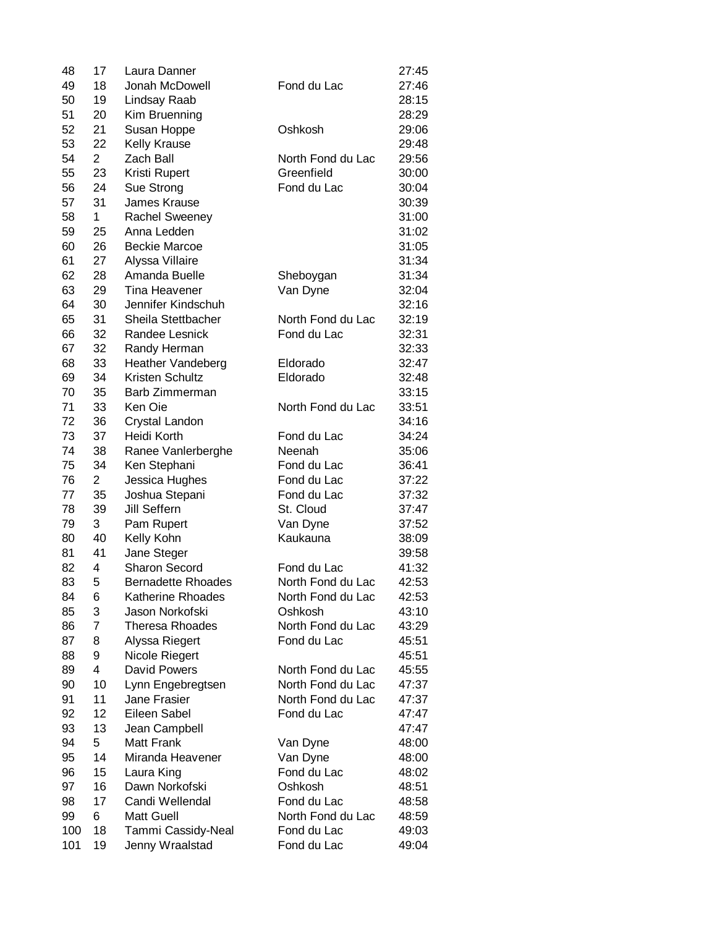| 48  | 17             | Laura Danner              |                   | 27:45 |
|-----|----------------|---------------------------|-------------------|-------|
| 49  | 18             | Jonah McDowell            | Fond du Lac       | 27:46 |
| 50  | 19             | Lindsay Raab              |                   | 28:15 |
| 51  | 20             | Kim Bruenning             |                   | 28:29 |
| 52  | 21             | Susan Hoppe               | Oshkosh           | 29:06 |
| 53  | 22             | <b>Kelly Krause</b>       |                   | 29:48 |
| 54  | $\overline{2}$ | Zach Ball                 | North Fond du Lac | 29:56 |
| 55  | 23             | Kristi Rupert             | Greenfield        | 30:00 |
| 56  | 24             | Sue Strong                | Fond du Lac       | 30:04 |
| 57  | 31             | James Krause              |                   | 30:39 |
| 58  | 1              | Rachel Sweeney            |                   | 31:00 |
| 59  | 25             | Anna Ledden               |                   | 31:02 |
| 60  | 26             | <b>Beckie Marcoe</b>      |                   | 31:05 |
| 61  | 27             | Alyssa Villaire           |                   | 31:34 |
| 62  | 28             | Amanda Buelle             | Sheboygan         | 31:34 |
| 63  | 29             | <b>Tina Heavener</b>      | Van Dyne          | 32:04 |
| 64  | 30             | Jennifer Kindschuh        |                   | 32:16 |
| 65  | 31             | Sheila Stettbacher        | North Fond du Lac | 32:19 |
| 66  | 32             | Randee Lesnick            | Fond du Lac       | 32:31 |
|     |                |                           |                   |       |
| 67  | 32             | Randy Herman              |                   | 32:33 |
| 68  | 33             | <b>Heather Vandeberg</b>  | Eldorado          | 32:47 |
| 69  | 34             | Kristen Schultz           | Eldorado          | 32:48 |
| 70  | 35             | Barb Zimmerman            |                   | 33:15 |
| 71  | 33             | Ken Oie                   | North Fond du Lac | 33:51 |
| 72  | 36             | Crystal Landon            |                   | 34:16 |
| 73  | 37             | Heidi Korth               | Fond du Lac       | 34:24 |
| 74  | 38             | Ranee Vanlerberghe        | Neenah            | 35:06 |
| 75  | 34             | Ken Stephani              | Fond du Lac       | 36:41 |
| 76  | $\overline{c}$ | Jessica Hughes            | Fond du Lac       | 37:22 |
| 77  | 35             | Joshua Stepani            | Fond du Lac       | 37:32 |
| 78  | 39             | Jill Seffern              | St. Cloud         | 37:47 |
| 79  | 3              | Pam Rupert                | Van Dyne          | 37:52 |
| 80  | 40             | Kelly Kohn                | Kaukauna          | 38:09 |
| 81  | 41             | Jane Steger               |                   | 39:58 |
| 82  | 4              | <b>Sharon Secord</b>      | Fond du Lac       | 41:32 |
| 83  | 5              | <b>Bernadette Rhoades</b> | North Fond du Lac | 42:53 |
| 84  | 6              | <b>Katherine Rhoades</b>  | North Fond du Lac | 42:53 |
| 85  | 3              | Jason Norkofski           | Oshkosh           | 43:10 |
| 86  | 7              | <b>Theresa Rhoades</b>    | North Fond du Lac | 43:29 |
| 87  | 8              | Alyssa Riegert            | Fond du Lac       | 45:51 |
| 88  | 9              | Nicole Riegert            |                   | 45:51 |
| 89  | 4              | David Powers              | North Fond du Lac | 45:55 |
| 90  | 10             | Lynn Engebregtsen         | North Fond du Lac | 47:37 |
| 91  | 11             | Jane Frasier              | North Fond du Lac | 47:37 |
| 92  | 12             | Eileen Sabel              | Fond du Lac       | 47:47 |
| 93  | 13             | Jean Campbell             |                   | 47:47 |
| 94  | 5              | <b>Matt Frank</b>         | Van Dyne          | 48:00 |
| 95  | 14             | Miranda Heavener          | Van Dyne          | 48:00 |
| 96  | 15             | Laura King                | Fond du Lac       | 48:02 |
| 97  | 16             | Dawn Norkofski            | Oshkosh           | 48:51 |
| 98  | 17             | Candi Wellendal           | Fond du Lac       | 48:58 |
| 99  | 6              | <b>Matt Guell</b>         | North Fond du Lac | 48:59 |
| 100 | 18             | Tammi Cassidy-Neal        | Fond du Lac       | 49:03 |
| 101 | 19             | Jenny Wraalstad           | Fond du Lac       | 49:04 |
|     |                |                           |                   |       |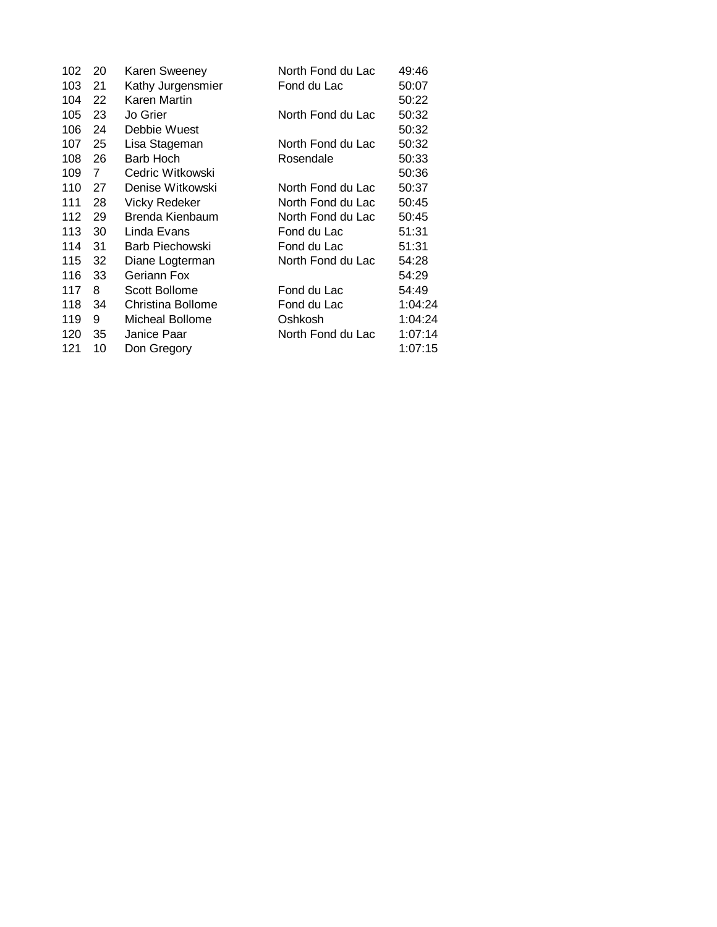| 102 | 20 | Karen Sweeney        | North Fond du Lac | 49:46   |
|-----|----|----------------------|-------------------|---------|
| 103 | 21 | Kathy Jurgensmier    | Fond du Lac       | 50:07   |
| 104 | 22 | Karen Martin         |                   | 50:22   |
| 105 | 23 | Jo Grier             | North Fond du Lac | 50:32   |
| 106 | 24 | Debbie Wuest         |                   | 50:32   |
| 107 | 25 | Lisa Stageman        | North Fond du Lac | 50:32   |
| 108 | 26 | Barb Hoch            | Rosendale         | 50:33   |
| 109 | 7  | Cedric Witkowski     |                   | 50:36   |
| 110 | 27 | Denise Witkowski     | North Fond du Lac | 50:37   |
| 111 | 28 | <b>Vicky Redeker</b> | North Fond du Lac | 50:45   |
| 112 | 29 | Brenda Kienbaum      | North Fond du Lac | 50:45   |
| 113 | 30 | Linda Evans          | Fond du Lac       | 51:31   |
| 114 | 31 | Barb Piechowski      | Fond du Lac       | 51:31   |
| 115 | 32 | Diane Logterman      | North Fond du Lac | 54:28   |
| 116 | 33 | Geriann Fox          |                   | 54:29   |
| 117 | 8  | Scott Bollome        | Fond du Lac       | 54:49   |
| 118 | 34 | Christina Bollome    | Fond du Lac       | 1:04:24 |
| 119 | 9  | Micheal Bollome      | Oshkosh           | 1:04:24 |
| 120 | 35 | Janice Paar          | North Fond du Lac | 1:07:14 |
| 121 | 10 | Don Gregory          |                   | 1:07:15 |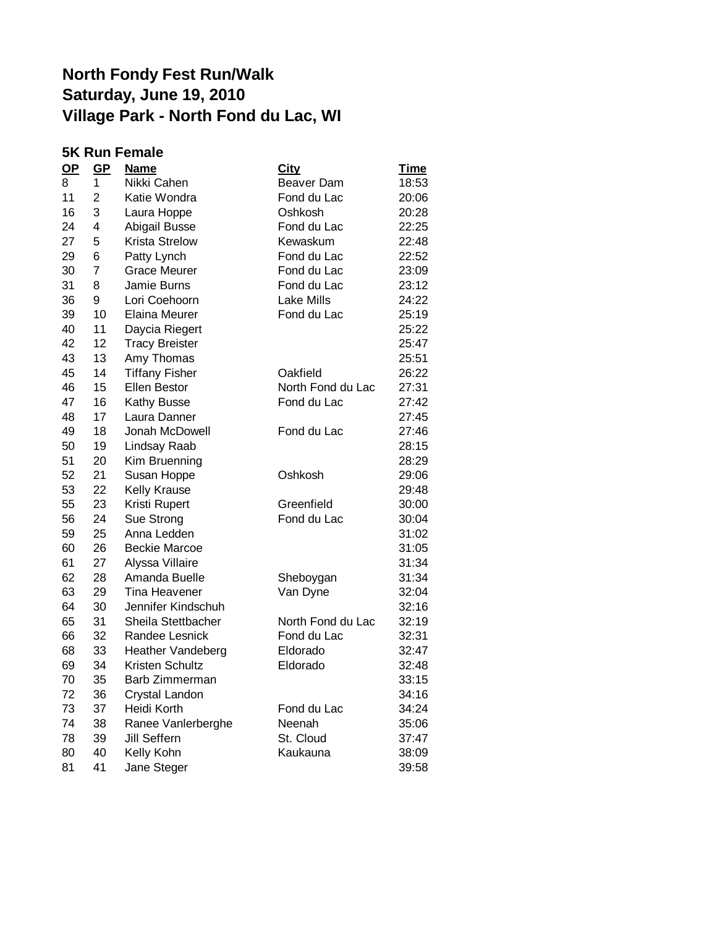|           | <b>5K Run Female</b> |                          |                   |             |  |
|-----------|----------------------|--------------------------|-------------------|-------------|--|
| <u>OP</u> | <u>GP</u>            | <b>Name</b>              | City              | <u>Time</u> |  |
| 8         | 1                    | Nikki Cahen              | Beaver Dam        | 18:53       |  |
| 11        | $\overline{2}$       | Katie Wondra             | Fond du Lac       | 20:06       |  |
| 16        | 3                    | Laura Hoppe              | Oshkosh           | 20:28       |  |
| 24        | 4                    | Abigail Busse            | Fond du Lac       | 22:25       |  |
| 27        | 5                    | <b>Krista Strelow</b>    | Kewaskum          | 22:48       |  |
| 29        | 6                    | Patty Lynch              | Fond du Lac       | 22:52       |  |
| 30        | $\overline{7}$       | <b>Grace Meurer</b>      | Fond du Lac       | 23:09       |  |
| 31        | 8                    | Jamie Burns              | Fond du Lac       | 23:12       |  |
| 36        | 9                    | Lori Coehoorn            | <b>Lake Mills</b> | 24:22       |  |
| 39        | 10                   | <b>Elaina Meurer</b>     | Fond du Lac       | 25:19       |  |
| 40        | 11                   | Daycia Riegert           |                   | 25:22       |  |
| 42        | 12                   | <b>Tracy Breister</b>    |                   | 25:47       |  |
| 43        | 13                   | Amy Thomas               |                   | 25:51       |  |
| 45        | 14                   | <b>Tiffany Fisher</b>    | Oakfield          | 26:22       |  |
| 46        | 15                   | <b>Ellen Bestor</b>      | North Fond du Lac | 27:31       |  |
| 47        | 16                   | Kathy Busse              | Fond du Lac       | 27:42       |  |
| 48        | 17                   | Laura Danner             |                   | 27:45       |  |
| 49        | 18                   | Jonah McDowell           | Fond du Lac       | 27:46       |  |
| 50        | 19                   | Lindsay Raab             |                   | 28:15       |  |
| 51        | 20                   | Kim Bruenning            |                   | 28:29       |  |
| 52        | 21                   | Susan Hoppe              | Oshkosh           | 29:06       |  |
| 53        | 22                   | Kelly Krause             |                   | 29:48       |  |
| 55        | 23                   | Kristi Rupert            | Greenfield        | 30:00       |  |
| 56        | 24                   | Sue Strong               | Fond du Lac       | 30:04       |  |
| 59        | 25                   | Anna Ledden              |                   | 31:02       |  |
| 60        | 26                   | <b>Beckie Marcoe</b>     |                   | 31:05       |  |
| 61        | 27                   | Alyssa Villaire          |                   | 31:34       |  |
| 62        | 28                   | Amanda Buelle            | Sheboygan         | 31:34       |  |
| 63        | 29                   | Tina Heavener            | Van Dyne          | 32:04       |  |
| 64        | 30                   | Jennifer Kindschuh       |                   | 32:16       |  |
| 65        | 31                   | Sheila Stettbacher       | North Fond du Lac | 32:19       |  |
| 66        | 32                   | Randee Lesnick           | Fond du Lac       | 32:31       |  |
| 68        | 33                   | <b>Heather Vandeberg</b> | Eldorado          | 32:47       |  |
| 69        | 34                   | Kristen Schultz          | Eldorado          | 32:48       |  |
| 70        | 35                   | Barb Zimmerman           |                   | 33:15       |  |
| 72        | 36                   | Crystal Landon           |                   | 34:16       |  |
| 73        | 37                   | Heidi Korth              | Fond du Lac       | 34:24       |  |
| 74        | 38                   | Ranee Vanlerberghe       | Neenah            | 35:06       |  |
| 78        | 39                   | Jill Seffern             | St. Cloud         | 37:47       |  |
| 80        | 40                   | Kelly Kohn               | Kaukauna          | 38:09       |  |
| 81        | 41                   | Jane Steger              |                   | 39:58       |  |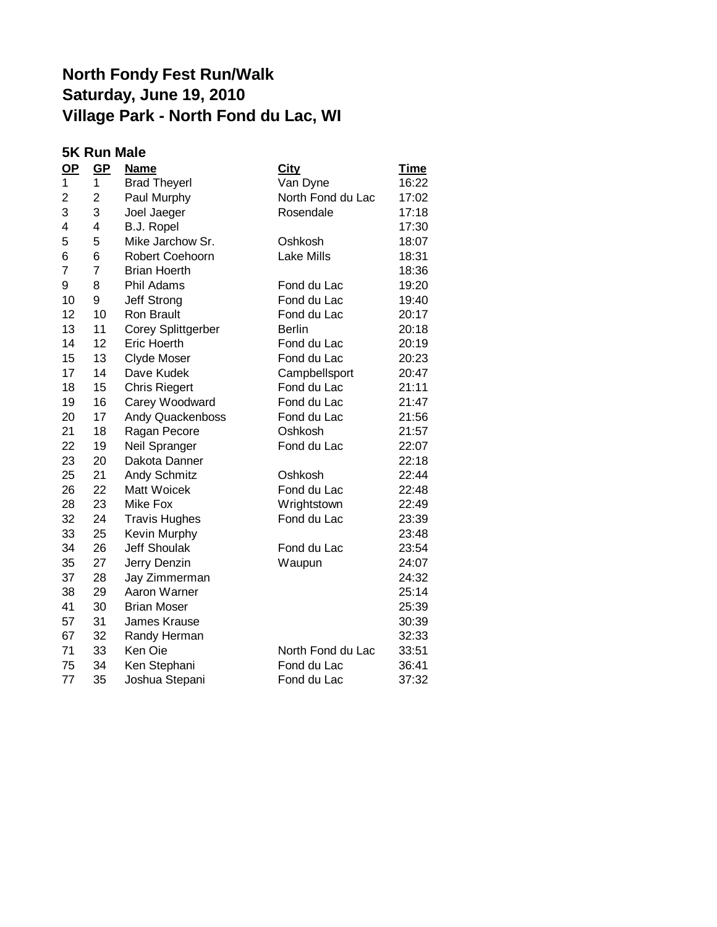#### **5K Run Male**

| $OP$                    | $GP$           | <b>Name</b>               | <b>City</b>       | <u>Time</u> |
|-------------------------|----------------|---------------------------|-------------------|-------------|
| 1                       | 1              | <b>Brad Theyerl</b>       | Van Dyne          | 16:22       |
| $\overline{\mathbf{c}}$ | 2              | Paul Murphy               | North Fond du Lac | 17:02       |
| 3                       | 3              | Joel Jaeger               | Rosendale         | 17:18       |
| 4                       | 4              | <b>B.J. Ropel</b>         |                   | 17:30       |
| 5                       | 5              | Mike Jarchow Sr.          | Oshkosh           | 18:07       |
| 6                       | 6              | Robert Coehoorn           | <b>Lake Mills</b> | 18:31       |
| 7                       | $\overline{7}$ | <b>Brian Hoerth</b>       |                   | 18:36       |
| 9                       | 8              | Phil Adams                | Fond du Lac       | 19:20       |
| 10                      | 9              | Jeff Strong               | Fond du Lac       | 19:40       |
| 12                      | 10             | Ron Brault                | Fond du Lac       | 20:17       |
| 13                      | 11             | <b>Corey Splittgerber</b> | <b>Berlin</b>     | 20:18       |
| 14                      | 12             | <b>Eric Hoerth</b>        | Fond du Lac       | 20:19       |
| 15                      | 13             | <b>Clyde Moser</b>        | Fond du Lac       | 20:23       |
| 17                      | 14             | Dave Kudek                | Campbellsport     | 20:47       |
| 18                      | 15             | <b>Chris Riegert</b>      | Fond du Lac       | 21:11       |
| 19                      | 16             | Carey Woodward            | Fond du Lac       | 21:47       |
| 20                      | 17             | <b>Andy Quackenboss</b>   | Fond du Lac       | 21:56       |
| 21                      | 18             | Ragan Pecore              | Oshkosh           | 21:57       |
| 22                      | 19             | Neil Spranger             | Fond du Lac       | 22:07       |
| 23                      | 20             | Dakota Danner             |                   | 22:18       |
| 25                      | 21             | Andy Schmitz              | Oshkosh           | 22:44       |
| 26                      | 22             | Matt Woicek               | Fond du Lac       | 22:48       |
| 28                      | 23             | <b>Mike Fox</b>           | Wrightstown       | 22:49       |
| 32                      | 24             | <b>Travis Hughes</b>      | Fond du Lac       | 23:39       |
| 33                      | 25             | Kevin Murphy              |                   | 23:48       |
| 34                      | 26             | <b>Jeff Shoulak</b>       | Fond du Lac       | 23:54       |
| 35                      | 27             | Jerry Denzin              | Waupun            | 24:07       |
| 37                      | 28             | Jay Zimmerman             |                   | 24:32       |
| 38                      | 29             | Aaron Warner              |                   | 25:14       |
| 41                      | 30             | <b>Brian Moser</b>        |                   | 25:39       |
| 57                      | 31             | James Krause              |                   | 30:39       |
| 67                      | 32             | Randy Herman              |                   | 32:33       |
| 71                      | 33             | Ken Oie                   | North Fond du Lac | 33:51       |
| 75                      | 34             | Ken Stephani              | Fond du Lac       | 36:41       |
| 77                      | 35             | Joshua Stepani            | Fond du Lac       | 37:32       |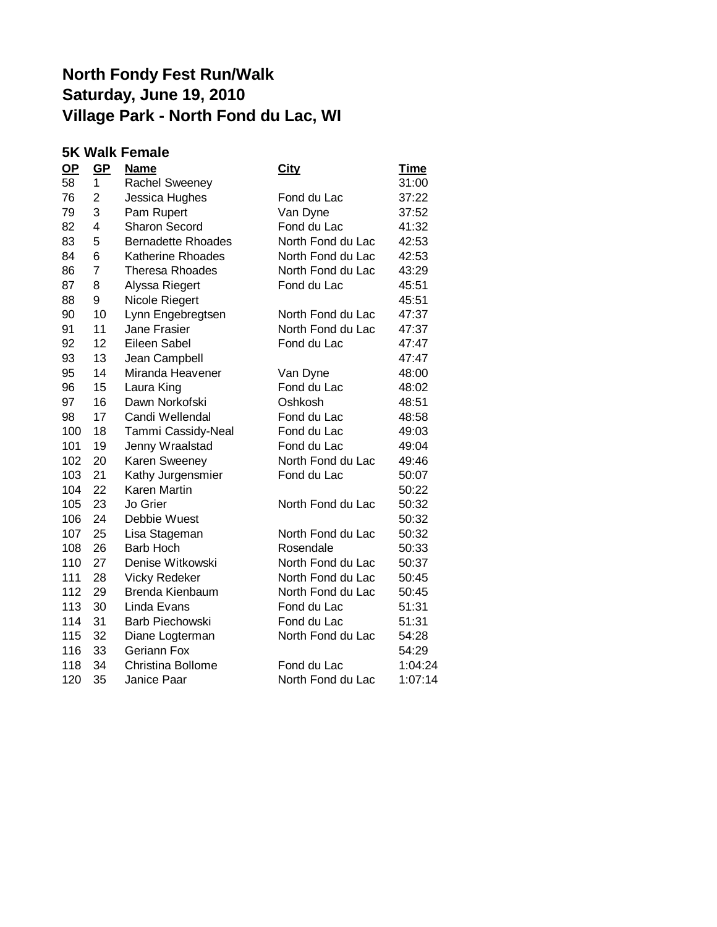#### **5K Walk Female**

| $OP$ | $GP$           | <u>Name</u>               | <b>City</b>       | <b>Time</b> |
|------|----------------|---------------------------|-------------------|-------------|
| 58   | 1              | Rachel Sweeney            |                   | 31:00       |
| 76   | 2              | Jessica Hughes            | Fond du Lac       | 37:22       |
| 79   | 3              | Pam Rupert                | Van Dyne          | 37:52       |
| 82   | 4              | <b>Sharon Secord</b>      | Fond du Lac       | 41:32       |
| 83   | 5              | <b>Bernadette Rhoades</b> | North Fond du Lac | 42:53       |
| 84   | 6              | <b>Katherine Rhoades</b>  | North Fond du Lac | 42:53       |
| 86   | $\overline{7}$ | <b>Theresa Rhoades</b>    | North Fond du Lac | 43:29       |
| 87   | 8              | Alyssa Riegert            | Fond du Lac       | 45:51       |
| 88   | 9              | Nicole Riegert            |                   | 45:51       |
| 90   | 10             | Lynn Engebregtsen         | North Fond du Lac | 47:37       |
| 91   | 11             | <b>Jane Frasier</b>       | North Fond du Lac | 47:37       |
| 92   | 12             | Eileen Sabel              | Fond du Lac       | 47:47       |
| 93   | 13             | Jean Campbell             |                   | 47:47       |
| 95   | 14             | Miranda Heavener          | Van Dyne          | 48:00       |
| 96   | 15             | Laura King                | Fond du Lac       | 48:02       |
| 97   | 16             | Dawn Norkofski            | Oshkosh           | 48:51       |
| 98   | 17             | Candi Wellendal           | Fond du Lac       | 48:58       |
| 100  | 18             | Tammi Cassidy-Neal        | Fond du Lac       | 49:03       |
| 101  | 19             | Jenny Wraalstad           | Fond du Lac       | 49:04       |
| 102  | 20             | Karen Sweeney             | North Fond du Lac | 49:46       |
| 103  | 21             | Kathy Jurgensmier         | Fond du Lac       | 50:07       |
| 104  | 22             | Karen Martin              |                   | 50:22       |
| 105  | 23             | Jo Grier                  | North Fond du Lac | 50:32       |
| 106  | 24             | Debbie Wuest              |                   | 50:32       |
| 107  | 25             | Lisa Stageman             | North Fond du Lac | 50:32       |
| 108  | 26             | <b>Barb Hoch</b>          | Rosendale         | 50:33       |
| 110  | 27             | Denise Witkowski          | North Fond du Lac | 50:37       |
| 111  | 28             | <b>Vicky Redeker</b>      | North Fond du Lac | 50:45       |
| 112  | 29             | Brenda Kienbaum           | North Fond du Lac | 50:45       |
| 113  | 30             | Linda Evans               | Fond du Lac       | 51:31       |
| 114  | 31             | <b>Barb Piechowski</b>    | Fond du Lac       | 51:31       |
| 115  | 32             | Diane Logterman           | North Fond du Lac | 54:28       |
| 116  | 33             | <b>Geriann Fox</b>        |                   | 54:29       |
| 118  | 34             | <b>Christina Bollome</b>  | Fond du Lac       | 1:04:24     |
| 120  | 35             | Janice Paar               | North Fond du Lac | 1:07:14     |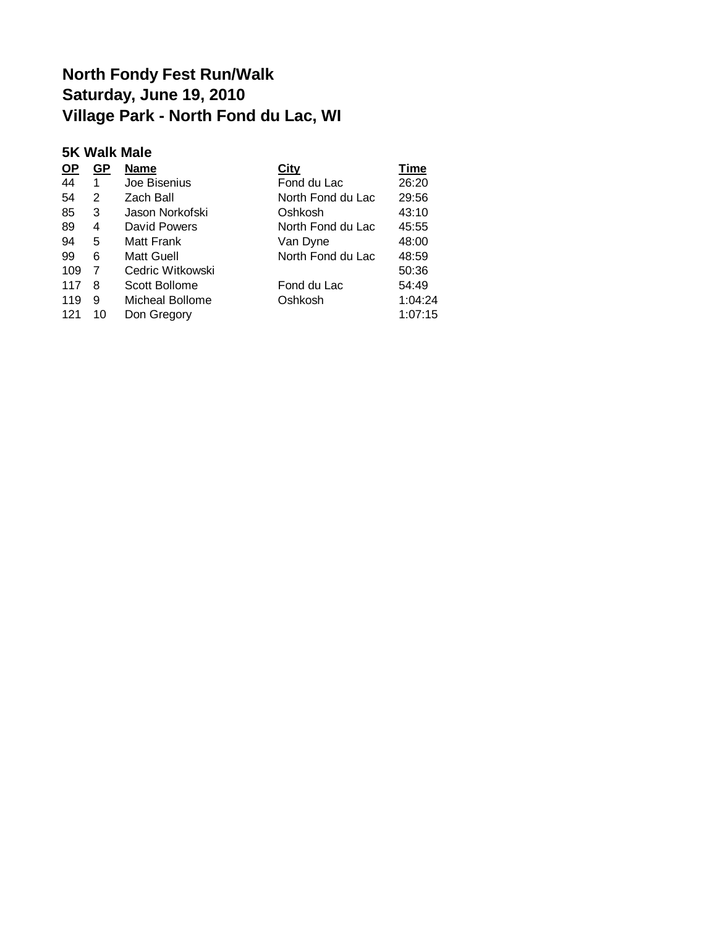#### **5K Walk Male**

| GР | Name             | City              | Time    |
|----|------------------|-------------------|---------|
|    | Joe Bisenius     | Fond du Lac       | 26:20   |
| 2  | Zach Ball        | North Fond du Lac | 29:56   |
| 3  | Jason Norkofski  | Oshkosh           | 43:10   |
| 4  | David Powers     | North Fond du Lac | 45:55   |
| 5  | Matt Frank       | Van Dyne          | 48:00   |
| 6  | Matt Guell       | North Fond du Lac | 48:59   |
| 7  | Cedric Witkowski |                   | 50:36   |
| 8  | Scott Bollome    | Fond du Lac       | 54:49   |
| 9  | Micheal Bollome  | Oshkosh           | 1:04:24 |
| 10 | Don Gregory      |                   | 1:07:15 |
|    |                  |                   |         |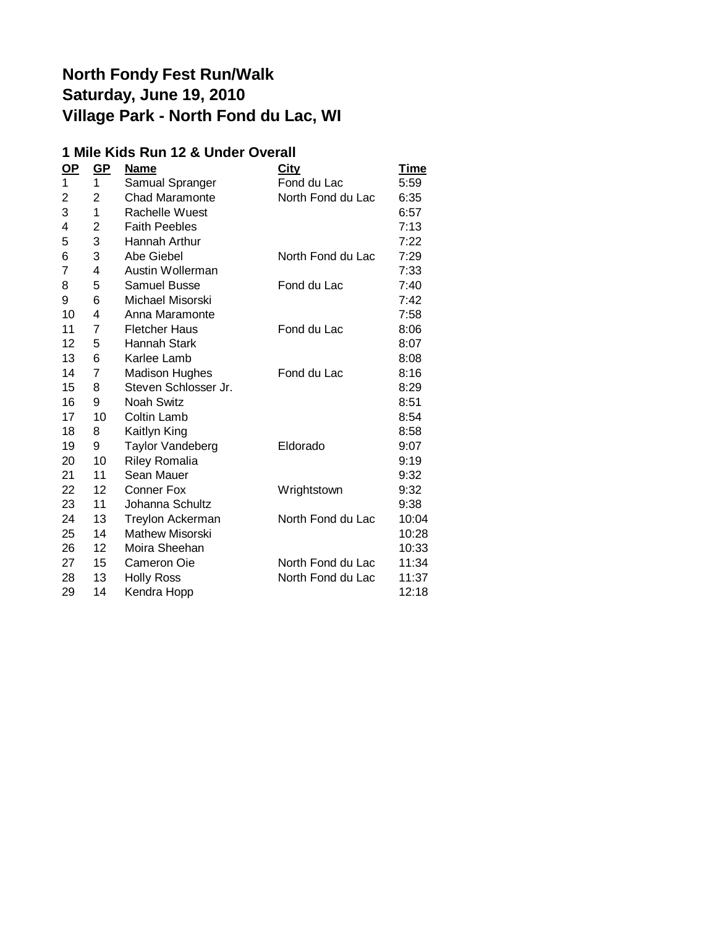#### **1 Mile Kids Run 12 & Under Overall**

| $OP$ | GP             | <b>Name</b>            | City              | <u>Time</u> |
|------|----------------|------------------------|-------------------|-------------|
| 1    | 1              | Samual Spranger        | Fond du Lac       | 5:59        |
| 2    | $\overline{2}$ | <b>Chad Maramonte</b>  | North Fond du Lac | 6:35        |
| 3    | 1              | Rachelle Wuest         |                   | 6:57        |
| 4    | 2              | <b>Faith Peebles</b>   |                   | 7:13        |
| 5    | 3              | Hannah Arthur          |                   | 7:22        |
| 6    | 3              | Abe Giebel             | North Fond du Lac | 7:29        |
| 7    | 4              | Austin Wollerman       |                   | 7:33        |
| 8    | 5              | Samuel Busse           | Fond du Lac       | 7:40        |
| 9    | 6              | Michael Misorski       |                   | 7:42        |
| 10   | 4              | Anna Maramonte         |                   | 7:58        |
| 11   | 7              | <b>Fletcher Haus</b>   | Fond du Lac       | 8:06        |
| 12   | 5              | <b>Hannah Stark</b>    |                   | 8:07        |
| 13   | 6              | Karlee Lamb            |                   | 8:08        |
| 14   | 7              | <b>Madison Hughes</b>  | Fond du Lac       | 8:16        |
| 15   | 8              | Steven Schlosser Jr.   |                   | 8:29        |
| 16   | 9              | <b>Noah Switz</b>      |                   | 8:51        |
| 17   | 10             | Coltin Lamb            |                   | 8:54        |
| 18   | 8              | Kaitlyn King           |                   | 8:58        |
| 19   | 9              | Taylor Vandeberg       | Eldorado          | 9:07        |
| 20   | 10             | <b>Riley Romalia</b>   |                   | 9:19        |
| 21   | 11             | Sean Mauer             |                   | 9:32        |
| 22   | 12             | <b>Conner Fox</b>      | Wrightstown       | 9:32        |
| 23   | 11             | Johanna Schultz        |                   | 9:38        |
| 24   | 13             | Treylon Ackerman       | North Fond du Lac | 10:04       |
| 25   | 14             | <b>Mathew Misorski</b> |                   | 10:28       |
| 26   | 12             | Moira Sheehan          |                   | 10:33       |
| 27   | 15             | Cameron Oie            | North Fond du Lac | 11:34       |
| 28   | 13             | <b>Holly Ross</b>      | North Fond du Lac | 11:37       |
| 29   | 14             | Kendra Hopp            |                   | 12:18       |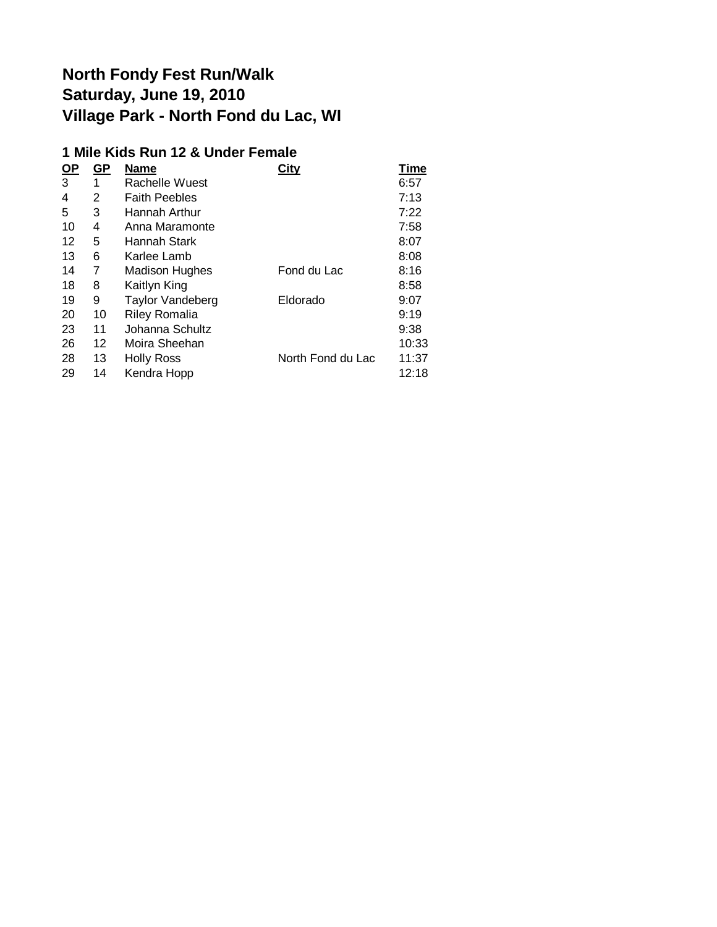#### **1 Mile Kids Run 12 & Under Female**

| $OP$ | GP | <b>Name</b>             | City              | Time  |
|------|----|-------------------------|-------------------|-------|
| 3    | 1  | Rachelle Wuest          |                   | 6:57  |
| 4    | 2  | <b>Faith Peebles</b>    |                   | 7:13  |
| 5    | 3  | Hannah Arthur           |                   | 7:22  |
| 10   | 4  | Anna Maramonte          |                   | 7:58  |
| 12   | 5  | Hannah Stark            |                   | 8:07  |
| 13   | 6  | Karlee Lamb             |                   | 8:08  |
| 14   | 7  | <b>Madison Hughes</b>   | Fond du Lac       | 8:16  |
| 18   | 8  | Kaitlyn King            |                   | 8:58  |
| 19   | 9  | <b>Taylor Vandeberg</b> | Eldorado          | 9:07  |
| 20   | 10 | <b>Riley Romalia</b>    |                   | 9:19  |
| 23   | 11 | Johanna Schultz         |                   | 9:38  |
| 26   | 12 | Moira Sheehan           |                   | 10:33 |
| 28   | 13 | <b>Holly Ross</b>       | North Fond du Lac | 11:37 |
| 29   | 14 | Kendra Hopp             |                   | 12:18 |
|      |    |                         |                   |       |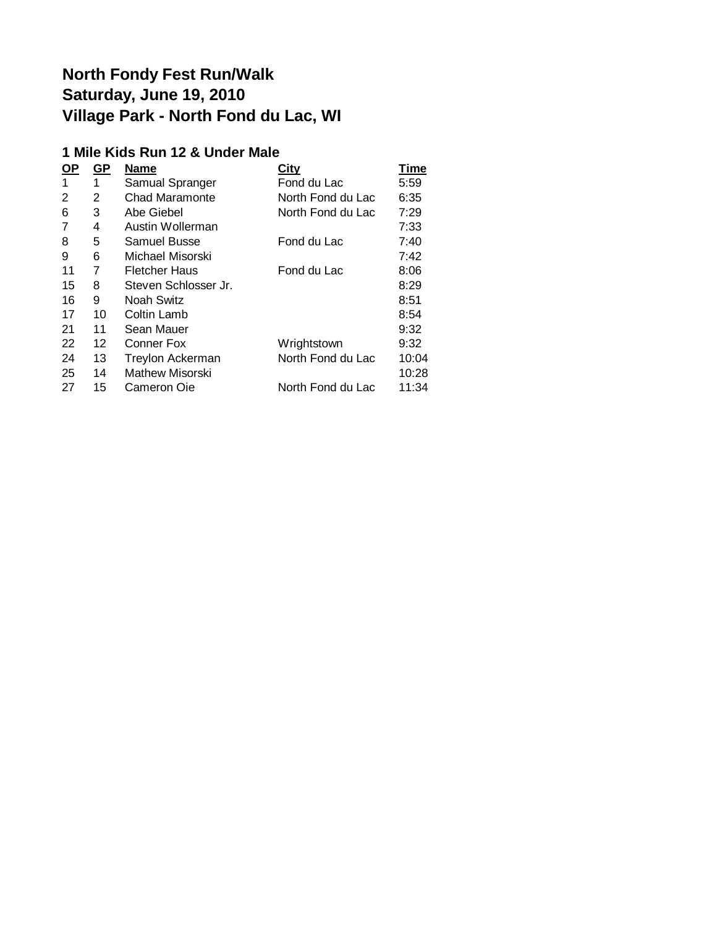#### **1 Mile Kids Run 12 & Under Male**

| <u>OP</u> | <u>GP</u>       | <b>Name</b>           | <b>City</b>       | Time  |
|-----------|-----------------|-----------------------|-------------------|-------|
| 1         | 1               | Samual Spranger       | Fond du Lac       | 5:59  |
| 2         | 2               | <b>Chad Maramonte</b> | North Fond du Lac | 6:35  |
| 6         | 3               | Abe Giebel            | North Fond du Lac | 7:29  |
| 7         | 4               | Austin Wollerman      |                   | 7:33  |
| 8         | 5               | Samuel Busse          | Fond du Lac       | 7:40  |
| 9         | 6               | Michael Misorski      |                   | 7:42  |
| 11        | 7               | <b>Fletcher Haus</b>  | Fond du Lac       | 8:06  |
| 15        | 8               | Steven Schlosser Jr.  |                   | 8:29  |
| 16        | 9               | Noah Switz            |                   | 8:51  |
| 17        | 10              | Coltin Lamb           |                   | 8:54  |
| 21        | 11              | Sean Mauer            |                   | 9:32  |
| 22        | 12 <sup>2</sup> | Conner Fox            | Wrightstown       | 9:32  |
| 24        | 13              | Treylon Ackerman      | North Fond du Lac | 10:04 |
| 25        | 14              | Mathew Misorski       |                   | 10:28 |
| 27        | 15              | Cameron Oie           | North Fond du Lac | 11:34 |
|           |                 |                       |                   |       |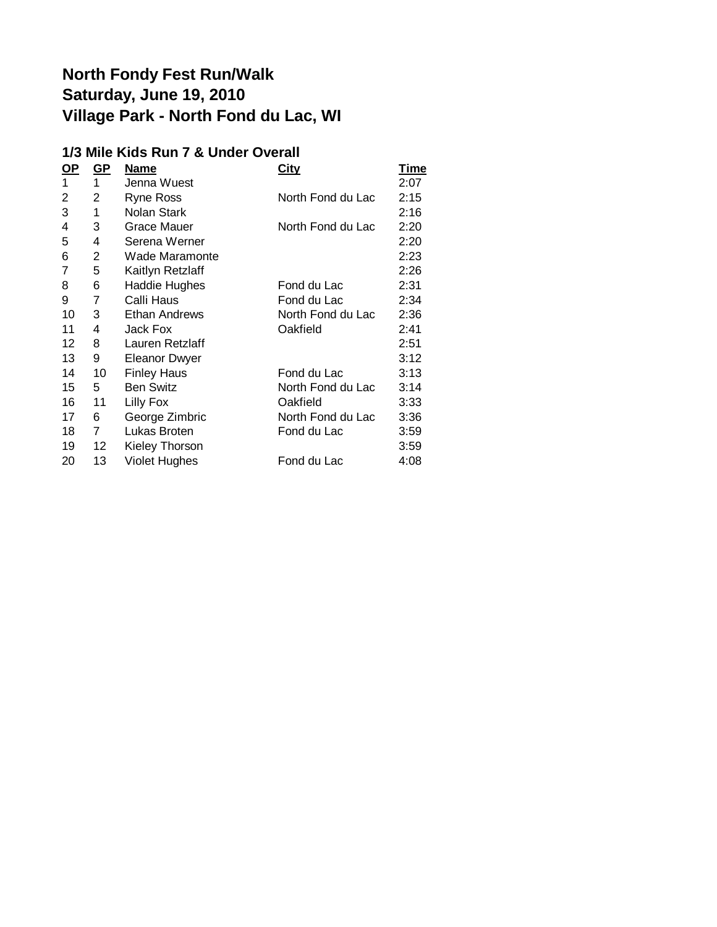#### **1/3 Mile Kids Run 7 & Under Overall**

| <u>OP</u> | $GP$           | <b>Name</b>          | <u>City</u>       | Time |
|-----------|----------------|----------------------|-------------------|------|
| 1         | 1              | Jenna Wuest          |                   | 2:07 |
| 2         | 2              | <b>Ryne Ross</b>     | North Fond du Lac | 2:15 |
| 3         | 1              | Nolan Stark          |                   | 2:16 |
| 4         | 3              | <b>Grace Mauer</b>   | North Fond du Lac | 2:20 |
| 5         | 4              | Serena Werner        |                   | 2:20 |
| 6         | 2              | Wade Maramonte       |                   | 2:23 |
| 7         | 5              | Kaitlyn Retzlaff     |                   | 2:26 |
| 8         | 6              | <b>Haddie Hughes</b> | Fond du Lac       | 2:31 |
| 9         | 7              | Calli Haus           | Fond du Lac       | 2:34 |
| 10        | 3              | Ethan Andrews        | North Fond du Lac | 2:36 |
| 11        | 4              | Jack Fox             | Oakfield          | 2:41 |
| 12        | 8              | Lauren Retzlaff      |                   | 2:51 |
| 13        | 9              | <b>Eleanor Dwyer</b> |                   | 3:12 |
| 14        | 10             | <b>Finley Haus</b>   | Fond du Lac       | 3:13 |
| 15        | 5              | <b>Ben Switz</b>     | North Fond du Lac | 3:14 |
| 16        | 11             | Lilly Fox            | Oakfield          | 3:33 |
| 17        | 6              | George Zimbric       | North Fond du Lac | 3:36 |
| 18        | $\overline{7}$ | Lukas Broten         | Fond du Lac       | 3:59 |
| 19        | 12             | Kieley Thorson       |                   | 3:59 |
| 20        | 13             | <b>Violet Hughes</b> | Fond du Lac       | 4:08 |
|           |                |                      |                   |      |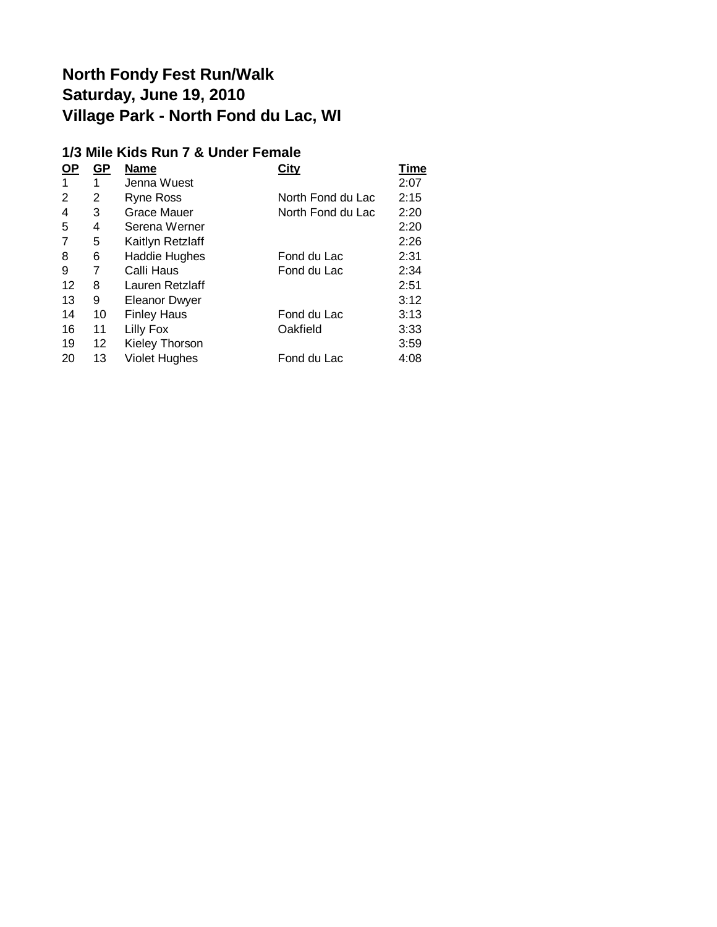#### **1/3 Mile Kids Run 7 & Under Female**

| <u>OP</u> | <u>GP</u> | <b>Name</b>          | <b>City</b>       | Time |
|-----------|-----------|----------------------|-------------------|------|
|           | 1         | Jenna Wuest          |                   | 2:07 |
| 2         | 2         | Ryne Ross            | North Fond du Lac | 2:15 |
| 4         | 3         | Grace Mauer          | North Fond du Lac | 2:20 |
| 5         | 4         | Serena Werner        |                   | 2:20 |
| 7         | 5         | Kaitlyn Retzlaff     |                   | 2:26 |
| 8         | 6         | Haddie Hughes        | Fond du Lac       | 2:31 |
| 9         | 7         | Calli Haus           | Fond du Lac       | 2:34 |
| 12        | 8         | Lauren Retzlaff      |                   | 2:51 |
| 13        | 9         | <b>Eleanor Dwyer</b> |                   | 3:12 |
| 14        | 10        | <b>Finley Haus</b>   | Fond du Lac       | 3:13 |
| 16        | 11        | Lilly Fox            | Oakfield          | 3:33 |
| 19        | 12        | Kieley Thorson       |                   | 3:59 |
| 20        | 13        | <b>Violet Hughes</b> | Fond du Lac       | 4:08 |
|           |           |                      |                   |      |